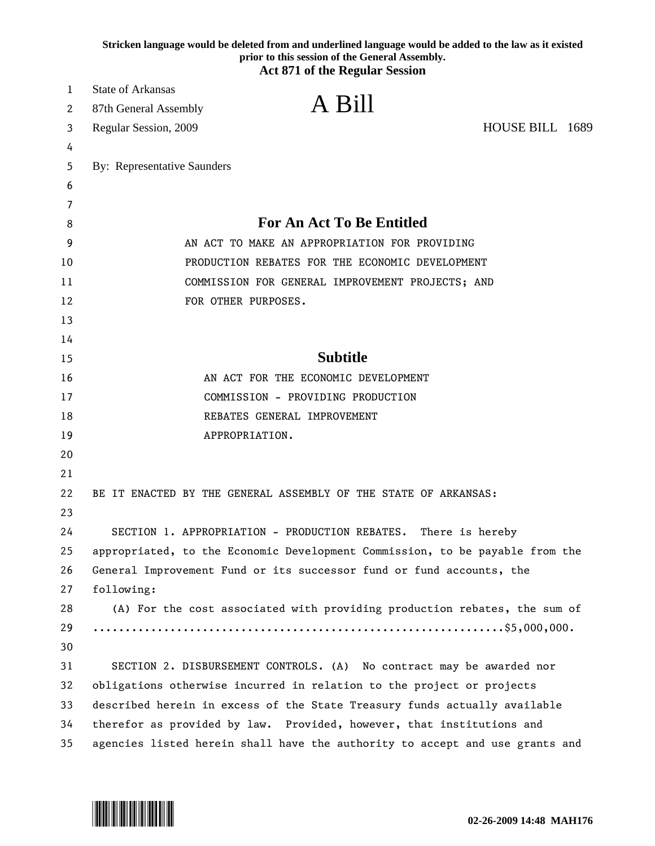|    | Stricken language would be deleted from and underlined language would be added to the law as it existed<br>prior to this session of the General Assembly.<br><b>Act 871 of the Regular Session</b> |  |
|----|----------------------------------------------------------------------------------------------------------------------------------------------------------------------------------------------------|--|
| 1  | <b>State of Arkansas</b>                                                                                                                                                                           |  |
| 2  | A Bill<br>87th General Assembly                                                                                                                                                                    |  |
| 3  | HOUSE BILL 1689<br>Regular Session, 2009                                                                                                                                                           |  |
| 4  |                                                                                                                                                                                                    |  |
| 5  | <b>By: Representative Saunders</b>                                                                                                                                                                 |  |
| 6  |                                                                                                                                                                                                    |  |
| 7  |                                                                                                                                                                                                    |  |
| 8  | <b>For An Act To Be Entitled</b>                                                                                                                                                                   |  |
| 9  | AN ACT TO MAKE AN APPROPRIATION FOR PROVIDING                                                                                                                                                      |  |
| 10 | PRODUCTION REBATES FOR THE ECONOMIC DEVELOPMENT                                                                                                                                                    |  |
| 11 | COMMISSION FOR GENERAL IMPROVEMENT PROJECTS; AND                                                                                                                                                   |  |
| 12 | FOR OTHER PURPOSES.                                                                                                                                                                                |  |
| 13 |                                                                                                                                                                                                    |  |
| 14 |                                                                                                                                                                                                    |  |
| 15 | <b>Subtitle</b>                                                                                                                                                                                    |  |
| 16 | AN ACT FOR THE ECONOMIC DEVELOPMENT                                                                                                                                                                |  |
| 17 | COMMISSION - PROVIDING PRODUCTION                                                                                                                                                                  |  |
| 18 | REBATES GENERAL IMPROVEMENT                                                                                                                                                                        |  |
| 19 | APPROPRIATION.                                                                                                                                                                                     |  |
| 20 |                                                                                                                                                                                                    |  |
| 21 |                                                                                                                                                                                                    |  |
| 22 | BE IT ENACTED BY THE GENERAL ASSEMBLY OF THE STATE OF ARKANSAS:                                                                                                                                    |  |
| 23 |                                                                                                                                                                                                    |  |
| 24 | SECTION 1. APPROPRIATION - PRODUCTION REBATES. There is hereby                                                                                                                                     |  |
| 25 | appropriated, to the Economic Development Commission, to be payable from the                                                                                                                       |  |
| 26 | General Improvement Fund or its successor fund or fund accounts, the                                                                                                                               |  |
| 27 | following:                                                                                                                                                                                         |  |
| 28 | (A) For the cost associated with providing production rebates, the sum of                                                                                                                          |  |
| 29 |                                                                                                                                                                                                    |  |
| 30 |                                                                                                                                                                                                    |  |
| 31 | SECTION 2. DISBURSEMENT CONTROLS. (A) No contract may be awarded nor                                                                                                                               |  |
| 32 | obligations otherwise incurred in relation to the project or projects                                                                                                                              |  |
| 33 | described herein in excess of the State Treasury funds actually available                                                                                                                          |  |
| 34 | therefor as provided by law. Provided, however, that institutions and                                                                                                                              |  |
| 35 | agencies listed herein shall have the authority to accept and use grants and                                                                                                                       |  |